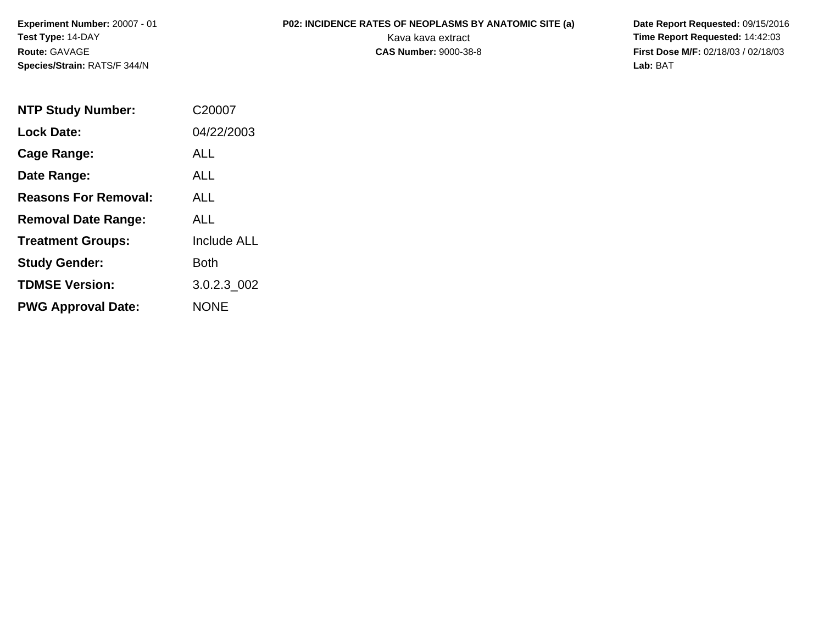**Experiment Number:** 20007 - 01**Test Type:** 14-DAY**Route:** GAVAGE**Species/Strain:** RATS/F 344/N

**P02: INCIDENCE RATES OF NEOPLASMS BY ANATOMIC SITE (a)** Date Report Requested: 09/15/2016<br>Kava kava extract **Time Report Requested:** 14:42:03 Kava kava extract **Time Report Requested:** 14:42:03 **First Dose M/F:** 02/18/03 / 02/18/03<br>Lab: BAT **Lab:** BAT

| <b>NTP Study Number:</b>    | C20007             |
|-----------------------------|--------------------|
| <b>Lock Date:</b>           | 04/22/2003         |
| Cage Range:                 | ALL                |
| Date Range:                 | ALL                |
| <b>Reasons For Removal:</b> | ALL.               |
| <b>Removal Date Range:</b>  | ALL                |
| <b>Treatment Groups:</b>    | <b>Include ALL</b> |
| <b>Study Gender:</b>        | Both               |
| <b>TDMSE Version:</b>       | 3.0.2.3 002        |
| <b>PWG Approval Date:</b>   | NONE               |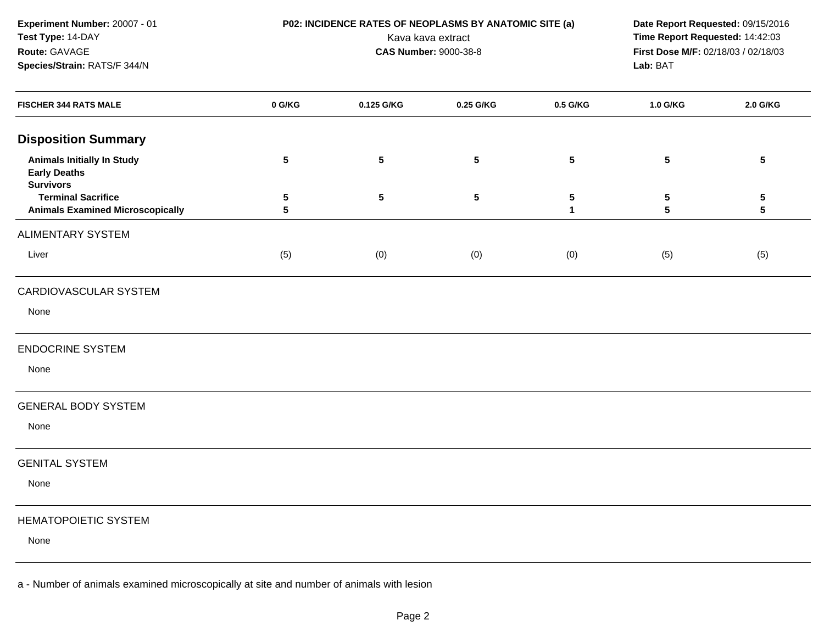**Experiment Number:** 20007 - 01**Test Type:** 14-DAY**Route:** GAVAGE**Species/Strain:** RATS/F 344/N

 **P02: INCIDENCE RATES OF NEOPLASMS BY ANATOMIC SITE (a) Date Report Requested:** 09/15/2016 Kava kava extract **Time Report Requested:** 14:42:03<br>**CAS Number:** 9000-38-8 **Time Report Requested:** 14:42:03 **First Dose M/F:** 02/18/03 / 02/18/03<br>Lab: BAT **Lab:** BAT

| <b>FISCHER 344 RATS MALE</b>                                                 | 0 G/KG     | 0.125 G/KG      | 0.25 G/KG       | 0.5 G/KG       | 1.0 G/KG  | 2.0 G/KG                                  |
|------------------------------------------------------------------------------|------------|-----------------|-----------------|----------------|-----------|-------------------------------------------|
| <b>Disposition Summary</b>                                                   |            |                 |                 |                |           |                                           |
| <b>Animals Initially In Study</b><br><b>Early Deaths</b><br><b>Survivors</b> | $\sqrt{5}$ | $5\phantom{.0}$ | $5\phantom{.0}$ | $\sqrt{5}$     | ${\bf 5}$ | $\sqrt{5}$                                |
| <b>Terminal Sacrifice</b><br><b>Animals Examined Microscopically</b>         | 5<br>5     | $5\phantom{.0}$ | ${\bf 5}$       | ${\bf 5}$<br>1 | 5<br>5    | $\overline{\mathbf{5}}$<br>$5\phantom{a}$ |
| <b>ALIMENTARY SYSTEM</b>                                                     |            |                 |                 |                |           |                                           |
| Liver                                                                        | (5)        | (0)             | (0)             | (0)            | (5)       | (5)                                       |
| CARDIOVASCULAR SYSTEM                                                        |            |                 |                 |                |           |                                           |
| None                                                                         |            |                 |                 |                |           |                                           |
| <b>ENDOCRINE SYSTEM</b>                                                      |            |                 |                 |                |           |                                           |
| None                                                                         |            |                 |                 |                |           |                                           |
| <b>GENERAL BODY SYSTEM</b>                                                   |            |                 |                 |                |           |                                           |
| None                                                                         |            |                 |                 |                |           |                                           |
| <b>GENITAL SYSTEM</b>                                                        |            |                 |                 |                |           |                                           |
| None                                                                         |            |                 |                 |                |           |                                           |
| <b>HEMATOPOIETIC SYSTEM</b>                                                  |            |                 |                 |                |           |                                           |
| None                                                                         |            |                 |                 |                |           |                                           |
|                                                                              |            |                 |                 |                |           |                                           |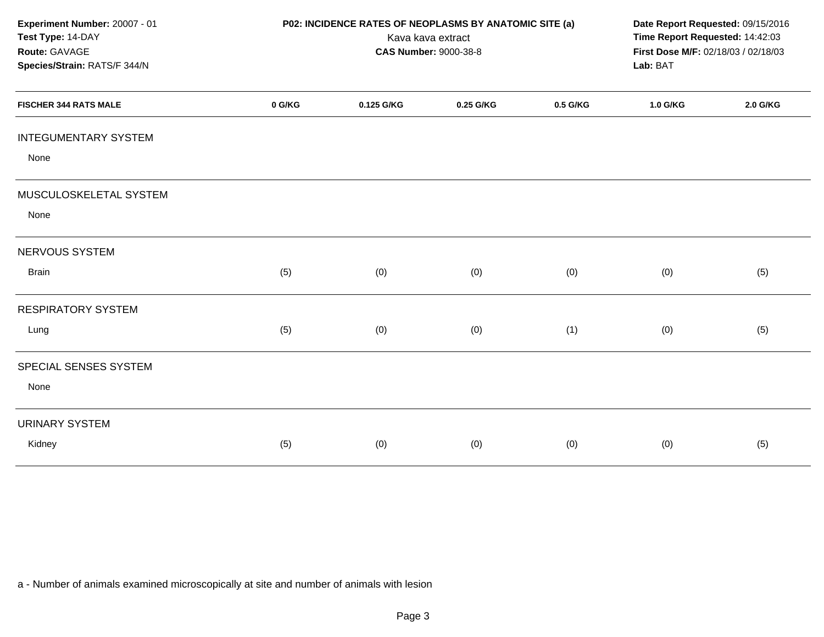| Experiment Number: 20007 - 01<br>Test Type: 14-DAY<br>Route: GAVAGE<br>Species/Strain: RATS/F 344/N | P02: INCIDENCE RATES OF NEOPLASMS BY ANATOMIC SITE (a)<br>Kava kava extract<br><b>CAS Number: 9000-38-8</b> |            |           |          | Date Report Requested: 09/15/2016<br>Time Report Requested: 14:42:03<br>First Dose M/F: 02/18/03 / 02/18/03<br>Lab: BAT |          |
|-----------------------------------------------------------------------------------------------------|-------------------------------------------------------------------------------------------------------------|------------|-----------|----------|-------------------------------------------------------------------------------------------------------------------------|----------|
| <b>FISCHER 344 RATS MALE</b>                                                                        | 0 G/KG                                                                                                      | 0.125 G/KG | 0.25 G/KG | 0.5 G/KG | 1.0 G/KG                                                                                                                | 2.0 G/KG |
| <b>INTEGUMENTARY SYSTEM</b><br>None                                                                 |                                                                                                             |            |           |          |                                                                                                                         |          |
| MUSCULOSKELETAL SYSTEM<br>None                                                                      |                                                                                                             |            |           |          |                                                                                                                         |          |
| NERVOUS SYSTEM                                                                                      |                                                                                                             |            |           |          |                                                                                                                         |          |
| <b>Brain</b>                                                                                        | (5)                                                                                                         | (0)        | (0)       | (0)      | (0)                                                                                                                     | (5)      |
| <b>RESPIRATORY SYSTEM</b>                                                                           |                                                                                                             |            |           |          |                                                                                                                         |          |
| Lung                                                                                                | (5)                                                                                                         | (0)        | (0)       | (1)      | (0)                                                                                                                     | (5)      |
| SPECIAL SENSES SYSTEM<br>None                                                                       |                                                                                                             |            |           |          |                                                                                                                         |          |
| <b>URINARY SYSTEM</b><br>Kidney                                                                     | (5)                                                                                                         | (0)        | (0)       | (0)      | (0)                                                                                                                     | (5)      |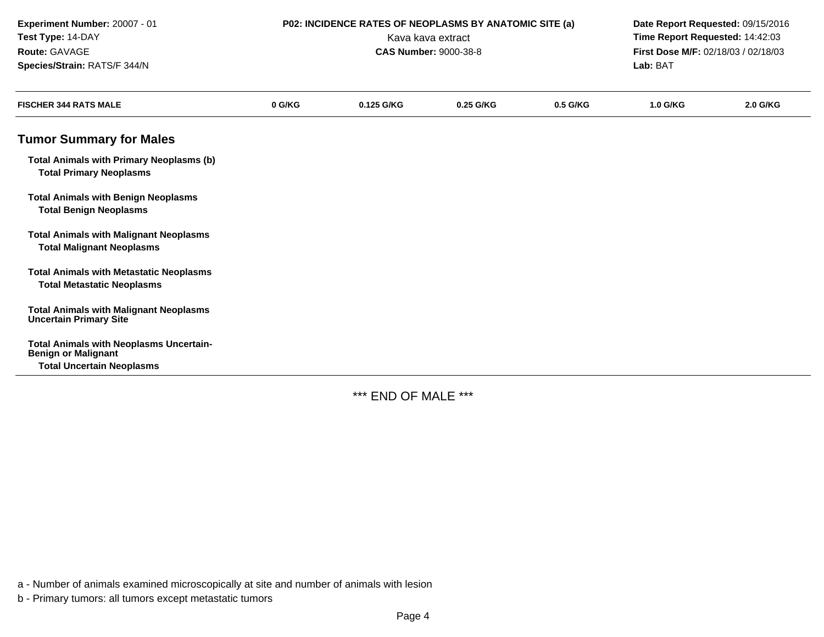| Experiment Number: 20007 - 01<br>Test Type: 14-DAY<br>Route: GAVAGE<br>Species/Strain: RATS/F 344/N              |        |            | P02: INCIDENCE RATES OF NEOPLASMS BY ANATOMIC SITE (a)<br>Date Report Requested: 09/15/2016<br>Time Report Requested: 14:42:03<br>Kava kava extract<br><b>CAS Number: 9000-38-8</b><br>First Dose M/F: 02/18/03 / 02/18/03<br>Lab: BAT |          |                 |          |
|------------------------------------------------------------------------------------------------------------------|--------|------------|----------------------------------------------------------------------------------------------------------------------------------------------------------------------------------------------------------------------------------------|----------|-----------------|----------|
| <b>FISCHER 344 RATS MALE</b>                                                                                     | 0 G/KG | 0.125 G/KG | 0.25 G/KG                                                                                                                                                                                                                              | 0.5 G/KG | <b>1.0 G/KG</b> | 2.0 G/KG |
| <b>Tumor Summary for Males</b>                                                                                   |        |            |                                                                                                                                                                                                                                        |          |                 |          |
| <b>Total Animals with Primary Neoplasms (b)</b><br><b>Total Primary Neoplasms</b>                                |        |            |                                                                                                                                                                                                                                        |          |                 |          |
| <b>Total Animals with Benign Neoplasms</b><br><b>Total Benign Neoplasms</b>                                      |        |            |                                                                                                                                                                                                                                        |          |                 |          |
| <b>Total Animals with Malignant Neoplasms</b><br><b>Total Malignant Neoplasms</b>                                |        |            |                                                                                                                                                                                                                                        |          |                 |          |
| <b>Total Animals with Metastatic Neoplasms</b><br><b>Total Metastatic Neoplasms</b>                              |        |            |                                                                                                                                                                                                                                        |          |                 |          |
| <b>Total Animals with Malignant Neoplasms</b><br><b>Uncertain Primary Site</b>                                   |        |            |                                                                                                                                                                                                                                        |          |                 |          |
| <b>Total Animals with Neoplasms Uncertain-</b><br><b>Benign or Malignant</b><br><b>Total Uncertain Neoplasms</b> |        |            |                                                                                                                                                                                                                                        |          |                 |          |

\*\*\* END OF MALE \*\*\*

a - Number of animals examined microscopically at site and number of animals with lesion

b - Primary tumors: all tumors except metastatic tumors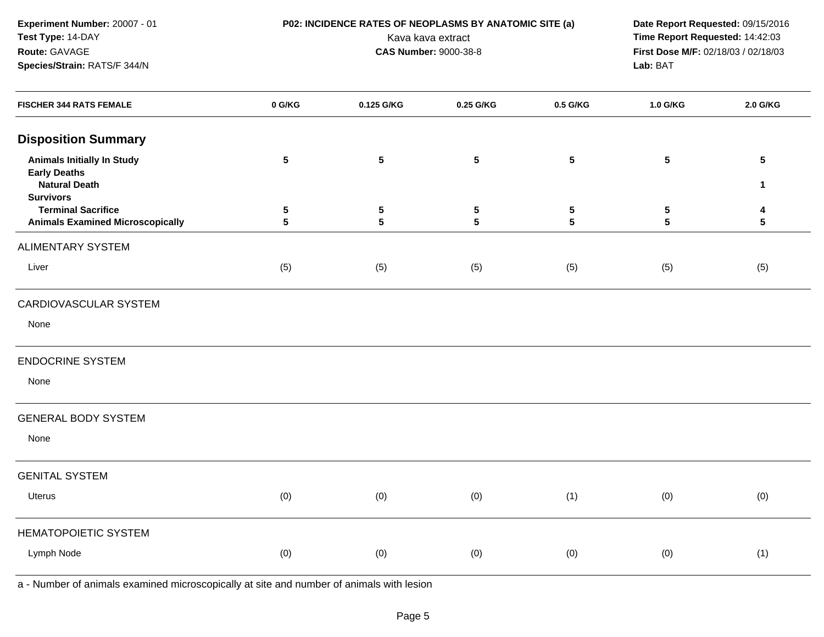**Experiment Number:** 20007 - 01**Test Type:** 14-DAY**Route:** GAVAGE**Species/Strain:** RATS/F 344/N

 **P02: INCIDENCE RATES OF NEOPLASMS BY ANATOMIC SITE (a) Date Report Requested:** 09/15/2016 Kava kava extract **Time Report Requested:** 14:42:03<br>**CAS Number:** 9000-38-8 **Time Report Requested:** 14:42:03 **First Dose M/F:** 02/18/03 / 02/18/03<br>Lab: BAT **Lab:** BAT

| <b>FISCHER 344 RATS FEMALE</b>                                       | 0 G/KG               | 0.125 G/KG      | 0.25 G/KG      | 0.5 G/KG                     | 1.0 G/KG                           | 2.0 G/KG        |
|----------------------------------------------------------------------|----------------------|-----------------|----------------|------------------------------|------------------------------------|-----------------|
| <b>Disposition Summary</b>                                           |                      |                 |                |                              |                                    |                 |
| <b>Animals Initially In Study</b><br><b>Early Deaths</b>             | 5                    | $5\phantom{.0}$ | ${\bf 5}$      | ${\bf 5}$                    | $\sqrt{5}$                         | $5\phantom{.0}$ |
| <b>Natural Death</b><br><b>Survivors</b>                             |                      |                 |                |                              |                                    | $\mathbf{1}$    |
| <b>Terminal Sacrifice</b><br><b>Animals Examined Microscopically</b> | 5<br>$5\phantom{.0}$ | $\sqrt{5}$<br>5 | ${\bf 5}$<br>5 | $\sqrt{5}$<br>$5\phantom{a}$ | $5\phantom{.0}$<br>$5\phantom{.0}$ | 4<br>${\bf 5}$  |
| <b>ALIMENTARY SYSTEM</b>                                             |                      |                 |                |                              |                                    |                 |
| Liver                                                                | (5)                  | (5)             | (5)            | (5)                          | (5)                                | (5)             |
| CARDIOVASCULAR SYSTEM                                                |                      |                 |                |                              |                                    |                 |
| None                                                                 |                      |                 |                |                              |                                    |                 |
| <b>ENDOCRINE SYSTEM</b>                                              |                      |                 |                |                              |                                    |                 |
| None                                                                 |                      |                 |                |                              |                                    |                 |
| <b>GENERAL BODY SYSTEM</b>                                           |                      |                 |                |                              |                                    |                 |
| None                                                                 |                      |                 |                |                              |                                    |                 |
| <b>GENITAL SYSTEM</b>                                                |                      |                 |                |                              |                                    |                 |
| <b>Uterus</b>                                                        | (0)                  | (0)             | (0)            | (1)                          | (0)                                | (0)             |
| HEMATOPOIETIC SYSTEM                                                 |                      |                 |                |                              |                                    |                 |
| Lymph Node                                                           | (0)                  | (0)             | (0)            | (0)                          | (0)                                | (1)             |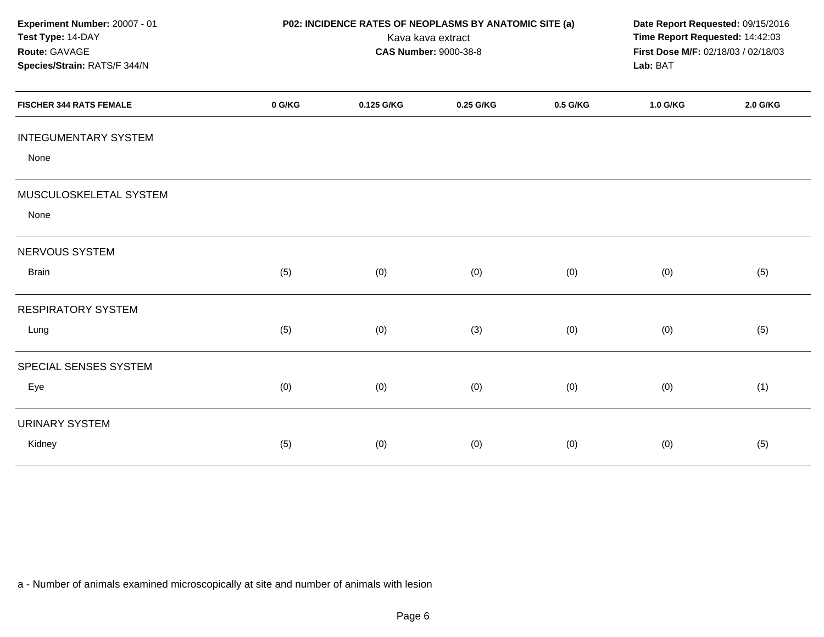| Experiment Number: 20007 - 01<br>Test Type: 14-DAY<br>Route: GAVAGE<br>Species/Strain: RATS/F 344/N | P02: INCIDENCE RATES OF NEOPLASMS BY ANATOMIC SITE (a)<br>Kava kava extract<br><b>CAS Number: 9000-38-8</b> |            |           |          | Date Report Requested: 09/15/2016<br>Time Report Requested: 14:42:03<br>First Dose M/F: 02/18/03 / 02/18/03<br>Lab: BAT |          |
|-----------------------------------------------------------------------------------------------------|-------------------------------------------------------------------------------------------------------------|------------|-----------|----------|-------------------------------------------------------------------------------------------------------------------------|----------|
| <b>FISCHER 344 RATS FEMALE</b>                                                                      | 0 G/KG                                                                                                      | 0.125 G/KG | 0.25 G/KG | 0.5 G/KG | 1.0 G/KG                                                                                                                | 2.0 G/KG |
| <b>INTEGUMENTARY SYSTEM</b><br>None                                                                 |                                                                                                             |            |           |          |                                                                                                                         |          |
| MUSCULOSKELETAL SYSTEM<br>None                                                                      |                                                                                                             |            |           |          |                                                                                                                         |          |
| NERVOUS SYSTEM                                                                                      |                                                                                                             |            |           |          |                                                                                                                         |          |
| <b>Brain</b>                                                                                        | (5)                                                                                                         | (0)        | (0)       | (0)      | (0)                                                                                                                     | (5)      |
| <b>RESPIRATORY SYSTEM</b>                                                                           |                                                                                                             |            |           |          |                                                                                                                         |          |
| Lung                                                                                                | (5)                                                                                                         | (0)        | (3)       | (0)      | (0)                                                                                                                     | (5)      |
| SPECIAL SENSES SYSTEM                                                                               |                                                                                                             |            |           |          |                                                                                                                         |          |
| Eye                                                                                                 | (0)                                                                                                         | (0)        | (0)       | (0)      | (0)                                                                                                                     | (1)      |
| <b>URINARY SYSTEM</b>                                                                               |                                                                                                             |            |           |          |                                                                                                                         |          |
| Kidney                                                                                              | (5)                                                                                                         | (0)        | (0)       | (0)      | (0)                                                                                                                     | (5)      |